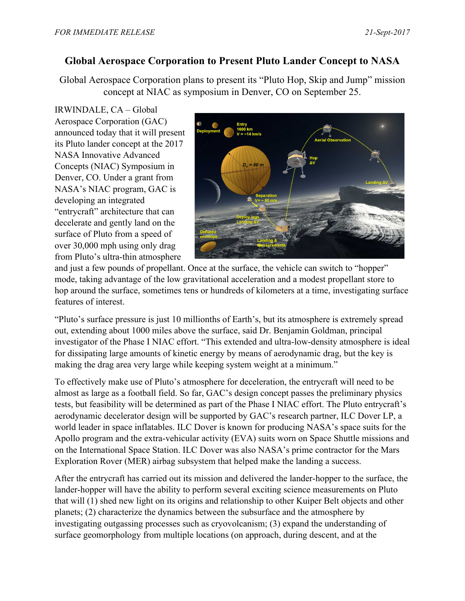## **Global Aerospace Corporation to Present Pluto Lander Concept to NASA**

Global Aerospace Corporation plans to present its "Pluto Hop, Skip and Jump" mission concept at NIAC as symposium in Denver, CO on September 25.

IRWINDALE, CA – Global Aerospace Corporation (GAC) announced today that it will present its Pluto lander concept at the 2017 NASA Innovative Advanced Concepts (NIAC) Symposium in Denver, CO. Under a grant from NASA's NIAC program, GAC is developing an integrated "entrycraft" architecture that can decelerate and gently land on the surface of Pluto from a speed of over 30,000 mph using only drag from Pluto's ultra-thin atmosphere



and just a few pounds of propellant. Once at the surface, the vehicle can switch to "hopper" mode, taking advantage of the low gravitational acceleration and a modest propellant store to hop around the surface, sometimes tens or hundreds of kilometers at a time, investigating surface features of interest.

"Pluto's surface pressure is just 10 millionths of Earth's, but its atmosphere is extremely spread out, extending about 1000 miles above the surface, said Dr. Benjamin Goldman, principal investigator of the Phase I NIAC effort. "This extended and ultra-low-density atmosphere is ideal for dissipating large amounts of kinetic energy by means of aerodynamic drag, but the key is making the drag area very large while keeping system weight at a minimum."

To effectively make use of Pluto's atmosphere for deceleration, the entrycraft will need to be almost as large as a football field. So far, GAC's design concept passes the preliminary physics tests, but feasibility will be determined as part of the Phase I NIAC effort. The Pluto entrycraft's aerodynamic decelerator design will be supported by GAC's research partner, ILC Dover LP, a world leader in space inflatables. ILC Dover is known for producing NASA's space suits for the Apollo program and the extra-vehicular activity (EVA) suits worn on Space Shuttle missions and on the International Space Station. ILC Dover was also NASA's prime contractor for the Mars Exploration Rover (MER) airbag subsystem that helped make the landing a success.

After the entrycraft has carried out its mission and delivered the lander-hopper to the surface, the lander-hopper will have the ability to perform several exciting science measurements on Pluto that will (1) shed new light on its origins and relationship to other Kuiper Belt objects and other planets; (2) characterize the dynamics between the subsurface and the atmosphere by investigating outgassing processes such as cryovolcanism; (3) expand the understanding of surface geomorphology from multiple locations (on approach, during descent, and at the